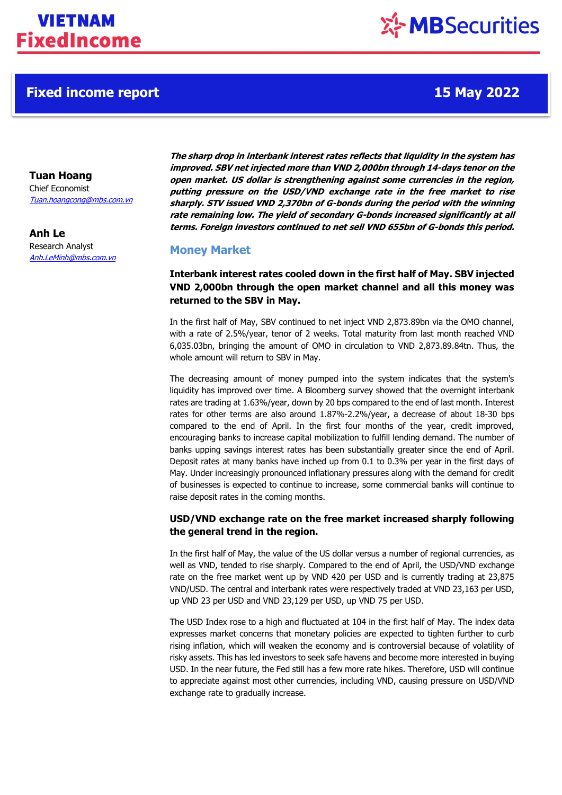## **Fixed income report 15 May 2022**

**Tuan Hoang**

Chief Economist [Tuan.hoangcong@mbs.com.vn](mailto:Tuan.hoangcong@mbs.com.vn)

**Anh Le** Research Analyst Anh.LeMinh@mbs.com.vn

**The sharp drop in interbank interest rates reflects that liquidity in the system has improved. SBV net injected more than VND 2,000bn through 14-days tenor on the open market. US dollar is strengthening against some currencies in the region, putting pressure on the USD/VND exchange rate in the free market to rise sharply. STV issued VND 2,370bn of G-bonds during the period with the winning rate remaining low. The yield of secondary G-bonds increased significantly at all terms. Foreign investors continued to net sell VND 655bn of G-bonds this period.**

## **Money Market**

**Interbank interest rates cooled down in the first half of May. SBV injected VND 2,000bn through the open market channel and all this money was returned to the SBV in May.**

In the first half of May, SBV continued to net inject VND 2,873.89bn via the OMO channel, with a rate of 2.5%/year, tenor of 2 weeks. Total maturity from last month reached VND 6,035.03bn, bringing the amount of OMO in circulation to VND 2,873.89.84tn. Thus, the whole amount will return to SBV in May.

The decreasing amount of money pumped into the system indicates that the system's liquidity has improved over time. A Bloomberg survey showed that the overnight interbank rates are trading at 1.63%/year, down by 20 bps compared to the end of last month. Interest rates for other terms are also around 1.87%-2.2%/year, a decrease of about 18-30 bps compared to the end of April. In the first four months of the year, credit improved, encouraging banks to increase capital mobilization to fulfill lending demand. The number of banks upping savings interest rates has been substantially greater since the end of April. Deposit rates at many banks have inched up from 0.1 to 0.3% per year in the first days of May. Under increasingly pronounced inflationary pressures along with the demand for credit of businesses is expected to continue to increase, some commercial banks will continue to raise deposit rates in the coming months.

## **USD/VND exchange rate on the free market increased sharply following the general trend in the region.**

In the first half of May, the value of the US dollar versus a number of regional currencies, as well as VND, tended to rise sharply. Compared to the end of April, the USD/VND exchange rate on the free market went up by VND 420 per USD and is currently trading at 23,875 VND/USD. The central and interbank rates were respectively traded at VND 23,163 per USD, up VND 23 per USD and VND 23,129 per USD, up VND 75 per USD.

The USD Index rose to a high and fluctuated at 104 in the first half of May. The index data expresses market concerns that monetary policies are expected to tighten further to curb rising inflation, which will weaken the economy and is controversial because of volatility of risky assets. This has led investors to seek safe havens and become more interested in buying USD. In the near future, the Fed still has a few more rate hikes. Therefore, USD will continue to appreciate against most other currencies, including VND, causing pressure on USD/VND exchange rate to gradually increase.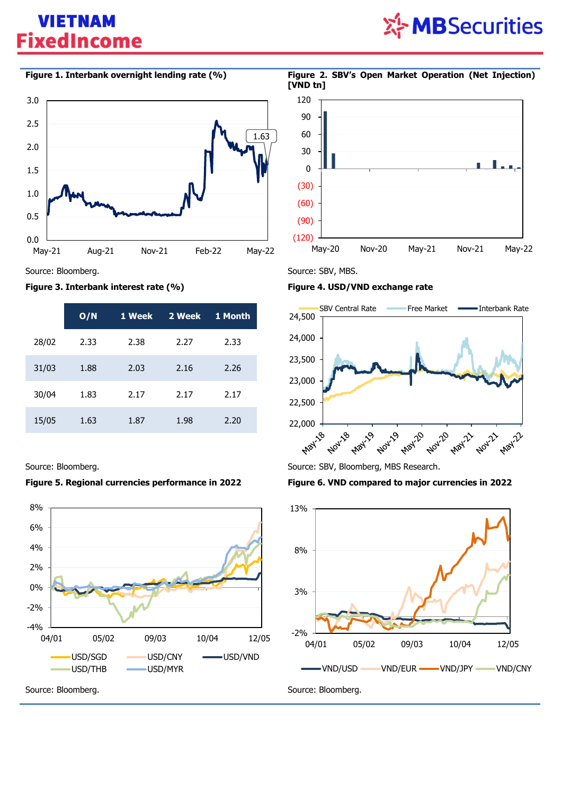# ※ MBSecurities



## **Figure 3. Interbank interest rate (%) Figure 4. USD/VND exchange rate**

|       | O/N  | 1 Week | 2 Week | 1 Month |
|-------|------|--------|--------|---------|
| 28/02 | 2.33 | 2.38   | 2.27   | 2.33    |
| 31/03 | 1.88 | 2.03   | 2.16   | 2.26    |
| 30/04 | 1.83 | 2.17   | 2.17   | 2.17    |
| 15/05 | 1.63 | 1.87   | 1.98   | 2.20    |

## **Figure 5. Regional currencies performance in 2022 Figure 6. VND compared to major currencies in 2022**





Source: Bloomberg. Source: SBV, MBS.

![](_page_1_Figure_13.jpeg)

Source: Bloomberg. Source: SBV, Bloomberg, MBS Research.

![](_page_1_Figure_16.jpeg)

## **Figure 1. Interbank overnight lending rate (%) Figure 2. SBV's Open Market Operation (Net Injection) [VND tn]**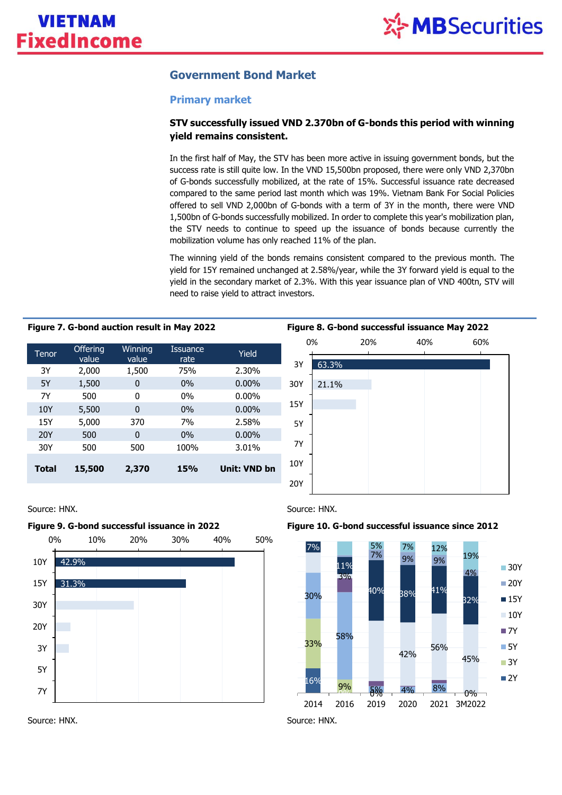## **Government Bond Market**

## **Primary market**

## **STV successfully issued VND 2.370bn of G-bonds this period with winning yield remains consistent.**

In the first half of May, the STV has been more active in issuing government bonds, but the success rate is still quite low. In the VND 15,500bn proposed, there were only VND 2,370bn of G-bonds successfully mobilized, at the rate of 15%. Successful issuance rate decreased compared to the same period last month which was 19%. Vietnam Bank For Social Policies offered to sell VND 2,000bn of G-bonds with a term of 3Y in the month, there were VND 1,500bn of G-bonds successfully mobilized. In order to complete this year's mobilization plan, the STV needs to continue to speed up the issuance of bonds because currently the mobilization volume has only reached 11% of the plan.

The winning yield of the bonds remains consistent compared to the previous month. The yield for 15Y remained unchanged at 2.58%/year, while the 3Y forward yield is equal to the yield in the secondary market of 2.3%. With this year issuance plan of VND 400tn, STV will need to raise yield to attract investors.

| Tenor        | <b>Offering</b><br>value | Winning<br>value | Issuance<br>rate | Yield        |
|--------------|--------------------------|------------------|------------------|--------------|
| 3Y           | 2,000                    | 1,500            | 75%              | 2.30%        |
| 5Y           | 1,500                    | 0                | $0\%$            | $0.00\%$     |
| <b>7Y</b>    | 500                      | 0                | $0\%$            | $0.00\%$     |
| 10Y          | 5,500                    | 0                | $0\%$            | $0.00\%$     |
| 15Y          | 5,000                    | 370              | 7%               | 2.58%        |
| 20Y          | 500                      | 0                | $0\%$            | $0.00\%$     |
| 30Y          | 500                      | 500              | 100%             | 3.01%        |
| <b>Total</b> | 15,500                   | 2,370            | 15%              | Unit: VND bn |

![](_page_2_Figure_10.jpeg)

![](_page_2_Figure_11.jpeg)

![](_page_2_Figure_13.jpeg)

![](_page_2_Figure_14.jpeg)

## **Figure 9. G-bond successful issuance in 2022 Figure 10. G-bond successful issuance since 2012**

![](_page_2_Figure_16.jpeg)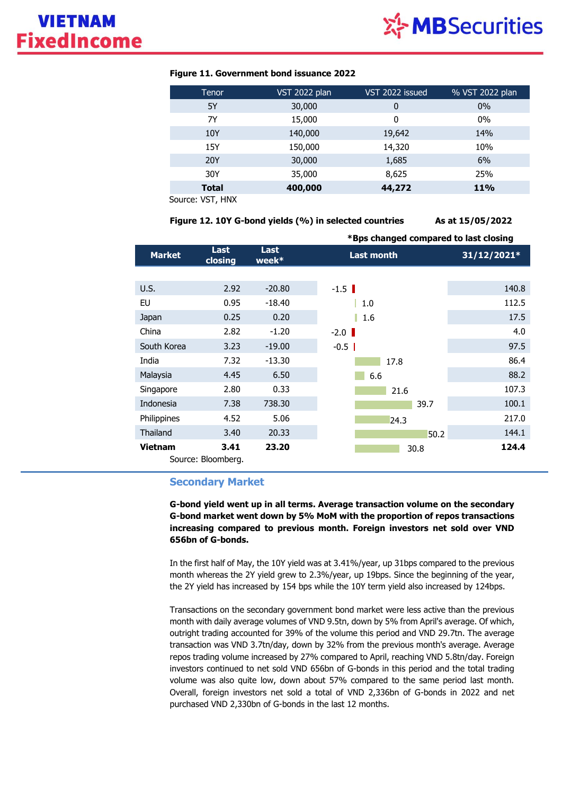![](_page_3_Picture_1.jpeg)

| Tenor        | VST 2022 plan | VST 2022 issued | % VST 2022 plan |
|--------------|---------------|-----------------|-----------------|
| 5Y           | 30,000        | 0               | $0\%$           |
| 7Y           | 15,000        | 0               | $0\%$           |
| 10Y          | 140,000       | 19,642          | 14%             |
| 15Y          | 150,000       | 14,320          | 10%             |
| <b>20Y</b>   | 30,000        | 1,685           | 6%              |
| 30Y          | 35,000        | 8,625           | 25%             |
| <b>Total</b> | 400,000       | 44,272          | <b>11%</b>      |

### **Figure 11. Government bond issuance 2022**

Source: VST, HNX

**Figure 12. 10Y G-bond yields (%) in selected countries As at 15/05/2022**

|                 |                            |                        | *Bps changed compared to last closing |             |  |
|-----------------|----------------------------|------------------------|---------------------------------------|-------------|--|
| <b>Market</b>   | Last<br>closing            | <b>Last</b><br>$week*$ | <b>Last month</b>                     | 31/12/2021* |  |
|                 |                            |                        |                                       |             |  |
| U.S.            | 2.92                       | $-20.80$               | $-1.5$                                | 140.8       |  |
| EU              | 0.95                       | $-18.40$               | 1.0                                   | 112.5       |  |
| Japan           | 0.25                       | 0.20                   | 1.6                                   | 17.5        |  |
| China           | 2.82                       | $-1.20$                | $-2.0$                                | 4.0         |  |
| South Korea     | 3.23                       | $-19.00$               | $-0.5$                                | 97.5        |  |
| India           | 7.32                       | $-13.30$               | 17.8                                  | 86.4        |  |
| Malaysia        | 4.45                       | 6.50                   | 6.6                                   | 88.2        |  |
| Singapore       | 2.80                       | 0.33                   | 21.6                                  | 107.3       |  |
| Indonesia       | 7.38                       | 738.30                 | 39.7                                  | 100.1       |  |
| Philippines     | 4.52                       | 5.06                   | 24.3                                  | 217.0       |  |
| <b>Thailand</b> | 3.40                       | 20.33                  | 50.2                                  | 144.1       |  |
| Vietnam         | 3.41<br>Source: Bloomberg. | 23.20                  | 30.8                                  | 124.4       |  |

## **Secondary Market**

**G-bond yield went up in all terms. Average transaction volume on the secondary G-bond market went down by 5% MoM with the proportion of repos transactions increasing compared to previous month. Foreign investors net sold over VND 656bn of G-bonds.**

In the first half of May, the 10Y yield was at 3.41%/year, up 31bps compared to the previous month whereas the 2Y yield grew to 2.3%/year, up 19bps. Since the beginning of the year, the 2Y yield has increased by 154 bps while the 10Y term yield also increased by 124bps.

Transactions on the secondary government bond market were less active than the previous month with daily average volumes of VND 9.5tn, down by 5% from April's average. Of which, outright trading accounted for 39% of the volume this period and VND 29.7tn. The average transaction was VND 3.7tn/day, down by 32% from the previous month's average. Average repos trading volume increased by 27% compared to April, reaching VND 5.8tn/day. Foreign investors continued to net sold VND 656bn of G-bonds in this period and the total trading volume was also quite low, down about 57% compared to the same period last month. Overall, foreign investors net sold a total of VND 2,336bn of G-bonds in 2022 and net purchased VND 2,330bn of G-bonds in the last 12 months.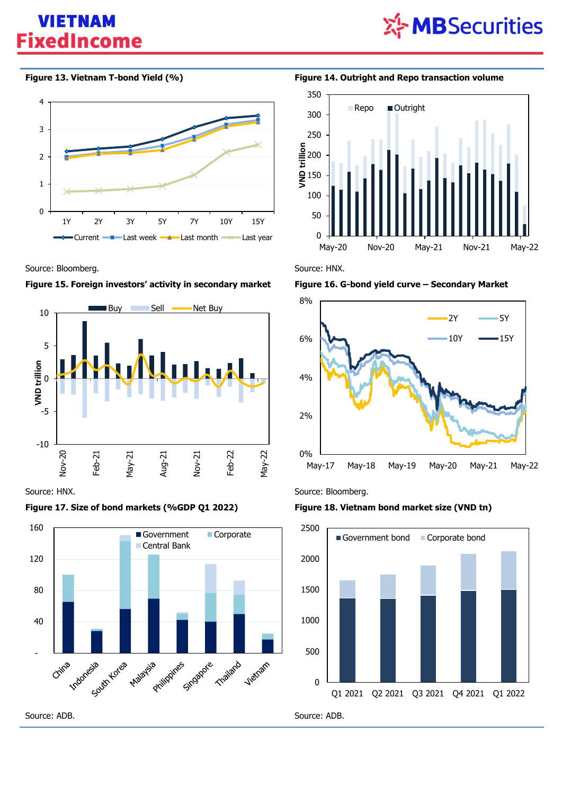![](_page_4_Picture_1.jpeg)

![](_page_4_Figure_3.jpeg)

Source: Bloomberg. **Source: HNX.** Source: HNX.

![](_page_4_Figure_5.jpeg)

![](_page_4_Figure_6.jpeg)

## **Figure 17. Size of bond markets (%GDP Q1 2022) Figure 18. Vietnam bond market size (VND tn)**

![](_page_4_Figure_9.jpeg)

**Figure 13. Vietnam T-bond Yield (%) Figure 14. Outright and Repo transaction volume**

![](_page_4_Figure_11.jpeg)

![](_page_4_Figure_14.jpeg)

Source: HNX. Source: Bloomberg.

![](_page_4_Figure_17.jpeg)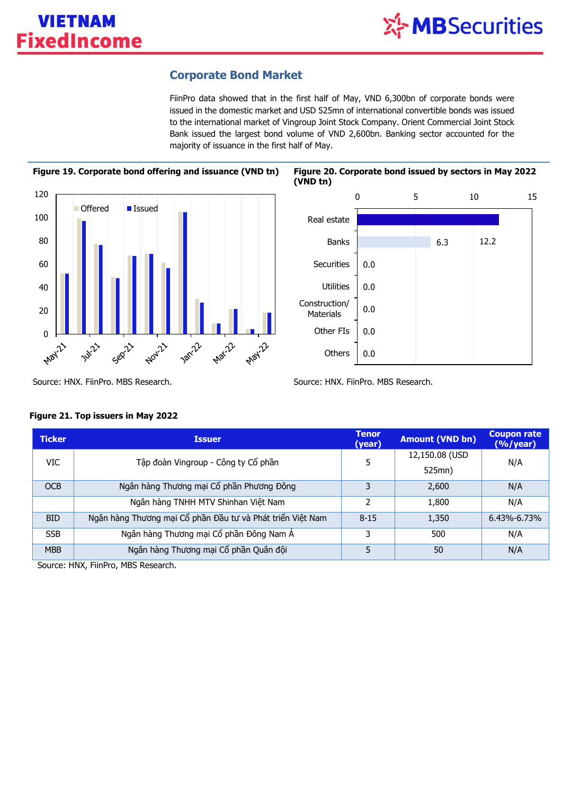## **Corporate Bond Market**

FiinPro data showed that in the first half of May, VND 6,300bn of corporate bonds were issued in the domestic market and USD 525mn of international convertible bonds was issued to the international market of Vingroup Joint Stock Company. Orient Commercial Joint Stock Bank issued the largest bond volume of VND 2,600bn. Banking sector accounted for the majority of issuance in the first half of May.

![](_page_5_Figure_4.jpeg)

![](_page_5_Figure_5.jpeg)

Source: HNX. FiinPro. MBS Research. Source: HNX. FiinPro. MBS Research.

| <b>Ticker</b> | <b>Issuer</b>                                              | <b>Tenor</b><br>(year) | <b>Amount (VND bn)</b> | <b>Coupon rate</b><br>$(%$ /year) |  |
|---------------|------------------------------------------------------------|------------------------|------------------------|-----------------------------------|--|
| <b>VIC</b>    | Tập đoàn Vingroup - Công ty Cổ phần                        | 5                      | 12,150.08 (USD         | N/A                               |  |
|               |                                                            |                        | 525mn)                 |                                   |  |
| <b>OCB</b>    | Ngân hàng Thương mại Cổ phần Phương Đông                   | 3                      | 2,600                  | N/A                               |  |
|               | Ngân hàng TNHH MTV Shinhan Việt Nam                        | っ                      | 1,800                  | N/A                               |  |
| <b>BID</b>    | Ngân hàng Thương mại Cổ phần Đầu tư và Phát triển Việt Nam | $8 - 15$               | 1,350                  | $6.43\% - 6.73\%$                 |  |
| <b>SSB</b>    | Ngân hàng Thương mại Cổ phần Đông Nam Á                    | 3                      | 500                    | N/A                               |  |
| <b>MBB</b>    | Ngân hàng Thương mại Cổ phần Quân đội                      | 5                      | 50                     | N/A                               |  |

## **Figure 21. Top issuers in May 2022**

Source: HNX, FiinPro, MBS Research.